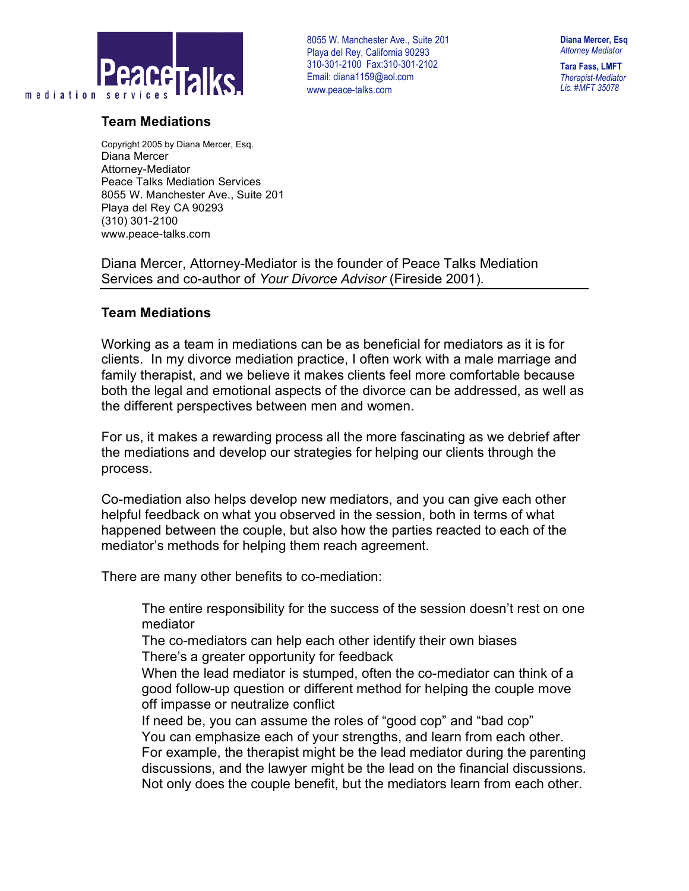

## **Team Mediations**

8055 W. Manchester Ave., Suite 201 . Playa del Rey, California 90293 310-301-2100 Fax:310-301-2102 Email: diana1159@aol.com www.peace-talks.com

**Diana Mercer, Esq** *Attorney Mediator*

**Tara Fass, LMFT** *Therapist-Mediator Lic. #MFT 35078*

Copyright 2005 by Diana Mercer, Esq. Diana Mercer Attorney-Mediator Peace Talks Mediation Services 8055 W. Manchester Ave., Suite 201 Playa del Rey CA 90293 (310) 301-2100 www.peace-talks.com

Diana Mercer, Attorney-Mediator is the founder of Peace Talks Mediation Services and co-author of *Your Divorce Advisor* (Fireside 2001).

## **Team Mediations**

Working as a team in mediations can be as beneficial for mediators as it is for clients. In my divorce mediation practice, I often work with a male marriage and family therapist, and we believe it makes clients feel more comfortable because both the legal and emotional aspects of the divorce can be addressed, as well as the different perspectives between men and women.

For us, it makes a rewarding process all the more fascinating as we debrief after the mediations and develop our strategies for helping our clients through the process.

Co-mediation also helps develop new mediators, and you can give each other helpful feedback on what you observed in the session, both in terms of what happened between the couple, but also how the parties reacted to each of the mediator's methods for helping them reach agreement.

There are many other benefits to co-mediation:

 The entire responsibility for the success of the session doesn't rest on one mediator

 The co-mediators can help each other identify their own biases There's a greater opportunity for feedback

 When the lead mediator is stumped, often the co-mediator can think of a good follow-up question or different method for helping the couple move off impasse or neutralize conflict

 If need be, you can assume the roles of "good cop" and "bad cop" You can emphasize each of your strengths, and learn from each other. For example, the therapist might be the lead mediator during the parenting discussions, and the lawyer might be the lead on the financial discussions. Not only does the couple benefit, but the mediators learn from each other.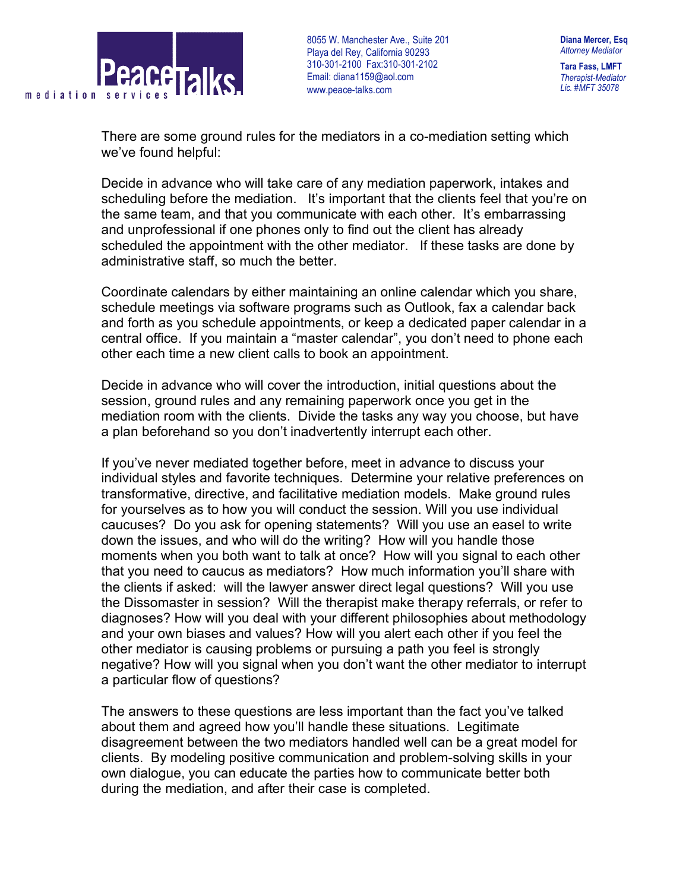

8055 W. Manchester Ave., Suite 201 . Playa del Rey, California 90293 310-301-2100 Fax:310-301-2102 Email: diana1159@aol.com www.peace-talks.com

*Therapist-Mediator Lic. #MFT 35078*

There are some ground rules for the mediators in a co-mediation setting which we've found helpful:

Decide in advance who will take care of any mediation paperwork, intakes and scheduling before the mediation. It's important that the clients feel that you're on the same team, and that you communicate with each other. It's embarrassing and unprofessional if one phones only to find out the client has already scheduled the appointment with the other mediator. If these tasks are done by administrative staff, so much the better.

Coordinate calendars by either maintaining an online calendar which you share, schedule meetings via software programs such as Outlook, fax a calendar back and forth as you schedule appointments, or keep a dedicated paper calendar in a central office. If you maintain a "master calendar", you don't need to phone each other each time a new client calls to book an appointment.

Decide in advance who will cover the introduction, initial questions about the session, ground rules and any remaining paperwork once you get in the mediation room with the clients. Divide the tasks any way you choose, but have a plan beforehand so you don't inadvertently interrupt each other.

If you've never mediated together before, meet in advance to discuss your individual styles and favorite techniques. Determine your relative preferences on transformative, directive, and facilitative mediation models. Make ground rules for yourselves as to how you will conduct the session. Will you use individual caucuses? Do you ask for opening statements? Will you use an easel to write down the issues, and who will do the writing? How will you handle those moments when you both want to talk at once? How will you signal to each other that you need to caucus as mediators? How much information you'll share with the clients if asked: will the lawyer answer direct legal questions? Will you use the Dissomaster in session? Will the therapist make therapy referrals, or refer to diagnoses? How will you deal with your different philosophies about methodology and your own biases and values? How will you alert each other if you feel the other mediator is causing problems or pursuing a path you feel is strongly negative? How will you signal when you don't want the other mediator to interrupt a particular flow of questions?

The answers to these questions are less important than the fact you've talked about them and agreed how you'll handle these situations. Legitimate disagreement between the two mediators handled well can be a great model for clients. By modeling positive communication and problem-solving skills in your own dialogue, you can educate the parties how to communicate better both during the mediation, and after their case is completed.